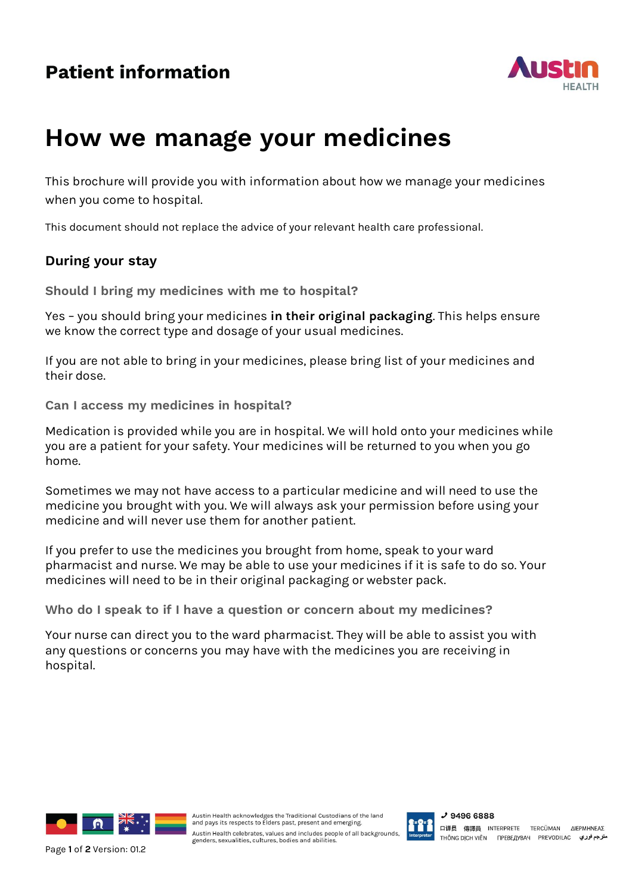

## **How we manage your medicines**

This brochure will provide you with information about how we manage your medicines when you come to hospital.

This document should not replace the advice of your relevant health care professional.

## **During your stay**

**Should I bring my medicines with me to hospital?** 

Yes – you should bring your medicines **in their original packaging**. This helps ensure we know the correct type and dosage of your usual medicines.

If you are not able to bring in your medicines, please bring list of your medicines and their dose.

**Can I access my medicines in hospital?** 

Medication is provided while you are in hospital. We will hold onto your medicines while you are a patient for your safety. Your medicines will be returned to you when you go home.

Sometimes we may not have access to a particular medicine and will need to use the medicine you brought with you. We will always ask your permission before using your medicine and will never use them for another patient.

If you prefer to use the medicines you brought from home, speak to your ward pharmacist and nurse. We may be able to use your medicines if it is safe to do so. Your medicines will need to be in their original packaging or webster pack.

**Who do I speak to if I have a question or concern about my medicines?** 

Your nurse can direct you to the ward pharmacist. They will be able to assist you with any questions or concerns you may have with the medicines you are receiving in hospital.